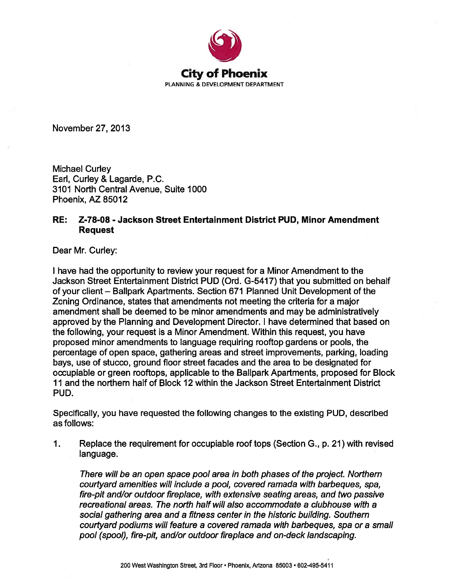

November 27, 2013

**Michael Curley** Earl, Curley & Lagarde, P.C. 3101 North Central Avenue, Suite 1000 Phoenix. AZ 85012

## RE: Z-78-08 - Jackson Street Entertainment District PUD. Minor Amendment **Request**

Dear Mr. Curley:

I have had the opportunity to review your request for a Minor Amendment to the Jackson Street Entertainment District PUD (Ord. G-5417) that you submitted on behalf of your client – Ballpark Apartments. Section 671 Planned Unit Development of the Zoning Ordinance, states that amendments not meeting the criteria for a major amendment shall be deemed to be minor amendments and may be administratively approved by the Planning and Development Director. I have determined that based on the following, your request is a Minor Amendment. Within this request, you have proposed minor amendments to language requiring rooftop gardens or pools, the percentage of open space, gathering areas and street improvements, parking, loading bays, use of stucco, ground floor street facades and the area to be designated for occupiable or green rooftops, applicable to the Ballpark Apartments, proposed for Block 11 and the northern half of Block 12 within the Jackson Street Entertainment District PUD.

Specifically, you have requested the following changes to the existing PUD, described as follows:

Replace the requirement for occupiable roof tops (Section G., p. 21) with revised  $\mathbf 1$ . language.

There will be an open space pool area in both phases of the project. Northern courtyard amenities will include a pool, covered ramada with barbeques, spa, fire-pit and/or outdoor fireplace, with extensive seating areas, and two passive recreational areas. The north half will also accommodate a clubhouse with a social gathering area and a fitness center in the historic building. Southern courtyard podiums will feature a covered ramada with barbeques, spa or a small pool (spool), fire-pit, and/or outdoor fireplace and on-deck landscaping.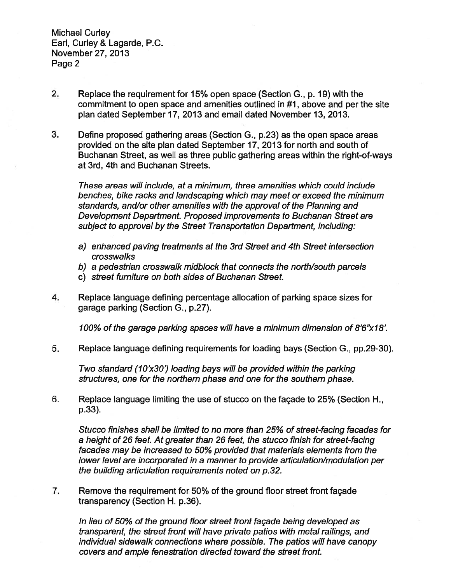**Michael Curley** Earl, Curley & Lagarde, P.C. November 27, 2013 Page 2

- $2.$ Replace the requirement for 15% open space (Section G., p. 19) with the commitment to open space and amenities outlined in #1, above and per the site plan dated September 17, 2013 and email dated November 13, 2013.
- 3. Define proposed gathering areas (Section G., p.23) as the open space areas provided on the site plan dated September 17, 2013 for north and south of Buchanan Street, as well as three public gathering areas within the right-of-ways at 3rd, 4th and Buchanan Streets.

These areas will include, at a minimum, three amenities which could include benches, bike racks and landscaping which may meet or exceed the minimum standards, and/or other amenities with the approval of the Planning and Development Department. Proposed improvements to Buchanan Street are subject to approval by the Street Transportation Department, including:

- a) enhanced paving treatments at the 3rd Street and 4th Street intersection crosswalks
- b) a pedestrian crosswalk midblock that connects the north/south parcels
- c) street furniture on both sides of Buchanan Street.
- $4.$ Replace language defining percentage allocation of parking space sizes for garage parking (Section G., p.27).

100% of the garage parking spaces will have a minimum dimension of 8'6"x18'.

5. Replace language defining requirements for loading bays (Section G., pp.29-30).

Two standard (10'x30') loading bays will be provided within the parking structures, one for the northern phase and one for the southern phase.

6. Replace language limiting the use of stucco on the facade to 25% (Section H., p.33).

Stucco finishes shall be limited to no more than 25% of street-facing facades for a height of 26 feet. At greater than 26 feet, the stucco finish for street-facing facades may be increased to 50% provided that materials elements from the lower level are incorporated in a manner to provide articulation/modulation per the building articulation requirements noted on p.32.

7. Remove the requirement for 50% of the ground floor street front façade transparency (Section H. p.36).

In lieu of 50% of the ground floor street front façade being developed as transparent, the street front will have private patios with metal railings, and individual sidewalk connections where possible. The patios will have canopy covers and ample fenestration directed toward the street front.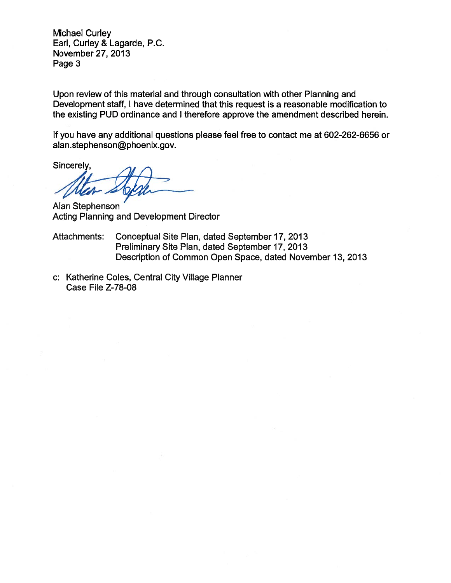Michael Curley Earl, Curley & Lagarde, P.C. November 27, 2013 Page 3

Upon review of this material and through consultation with other Planning and Development staff, I have determined that this request is a reasonable modification to the existing PUD ordinance and I therefore approve the amendment described herein.

If you have any additional questions please feel free to contact me at 602-262-6656 or alan.stephenson@phoenix.gov.

Sincerely,

Alan Stephenson Acting Planning and Development Director

- Attachments: Conceptual Site Plan, dated September 17, 2013 Preliminary Site Plan, dated September 17, 2013 Description of Common Open Space, dated November 13, 2013
- c: Katherine Coles, Central City Village Planner Case File Z-78-08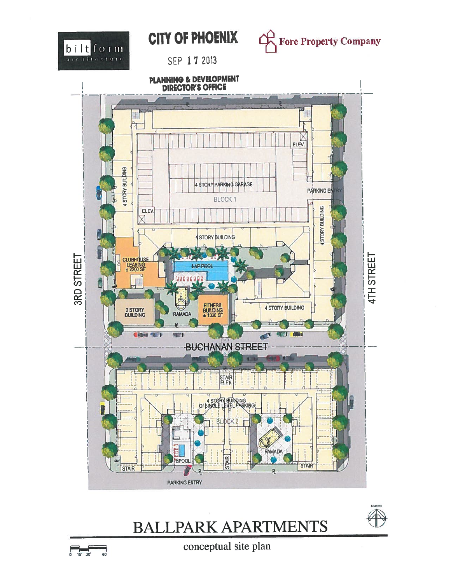

## **CITY OF PHOENIX**



SEP 17 2013



## **BALLPARK APARTMENTS**



conceptual site plan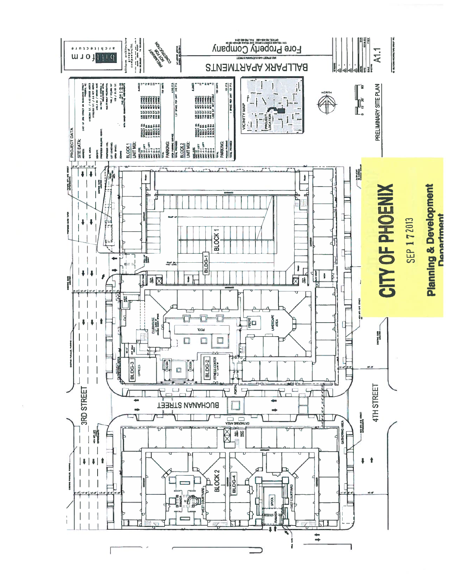